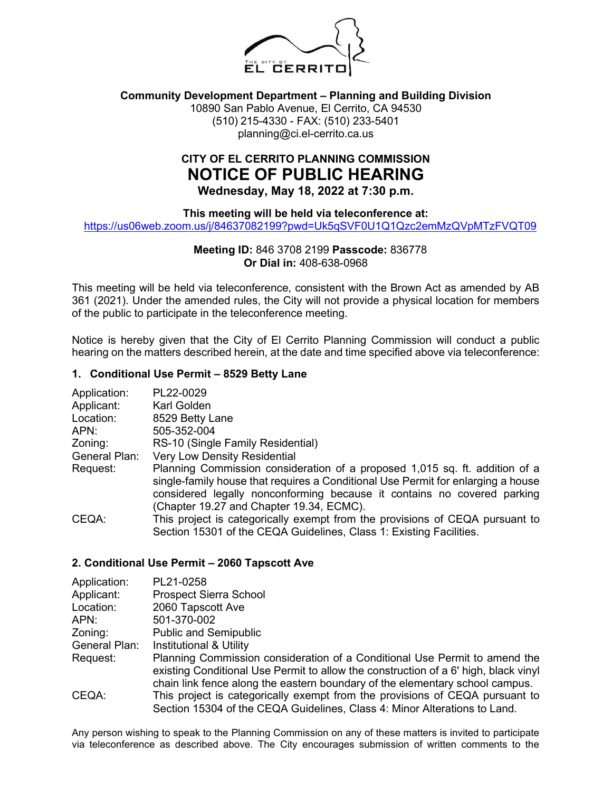

### **Community Development Department – Planning and Building Division**

10890 San Pablo Avenue, El Cerrito, CA 94530 (510) 215-4330 - FAX: (510) 233-5401 planning@ci.el-cerrito.ca.us

# **CITY OF EL CERRITO PLANNING COMMISSION NOTICE OF PUBLIC HEARING Wednesday, May 18, 2022 at 7:30 p.m.**

**This meeting will be held via teleconference at:**

<https://us06web.zoom.us/j/84637082199?pwd=Uk5qSVF0U1Q1Qzc2emMzQVpMTzFVQT09>

## **Meeting ID:** 846 3708 2199 **Passcode:** 836778 **Or Dial in:** 408-638-0968

This meeting will be held via teleconference, consistent with the Brown Act as amended by AB 361 (2021). Under the amended rules, the City will not provide a physical location for members of the public to participate in the teleconference meeting.

Notice is hereby given that the City of El Cerrito Planning Commission will conduct a public hearing on the matters described herein, at the date and time specified above via teleconference:

#### **1. Conditional Use Permit – 8529 Betty Lane**

| Application:  | PL22-0029                                                                                                                                                                                                                                                                              |
|---------------|----------------------------------------------------------------------------------------------------------------------------------------------------------------------------------------------------------------------------------------------------------------------------------------|
| Applicant:    | Karl Golden                                                                                                                                                                                                                                                                            |
| Location:     | 8529 Betty Lane                                                                                                                                                                                                                                                                        |
| APN:          | 505-352-004                                                                                                                                                                                                                                                                            |
| Zoning:       | RS-10 (Single Family Residential)                                                                                                                                                                                                                                                      |
| General Plan: | <b>Very Low Density Residential</b>                                                                                                                                                                                                                                                    |
| Request:      | Planning Commission consideration of a proposed 1,015 sq. ft. addition of a<br>single-family house that requires a Conditional Use Permit for enlarging a house<br>considered legally nonconforming because it contains no covered parking<br>(Chapter 19.27 and Chapter 19.34, ECMC). |
| CEQA:         | This project is categorically exempt from the provisions of CEQA pursuant to<br>Section 15301 of the CEQA Guidelines, Class 1: Existing Facilities.                                                                                                                                    |

#### **2. Conditional Use Permit – 2060 Tapscott Ave**

| Application:  | PL21-0258                                                                                                                                                                                                                                         |
|---------------|---------------------------------------------------------------------------------------------------------------------------------------------------------------------------------------------------------------------------------------------------|
| Applicant:    | <b>Prospect Sierra School</b>                                                                                                                                                                                                                     |
| Location:     | 2060 Tapscott Ave                                                                                                                                                                                                                                 |
| APN:          | 501-370-002                                                                                                                                                                                                                                       |
| Zoning:       | <b>Public and Semipublic</b>                                                                                                                                                                                                                      |
| General Plan: | <b>Institutional &amp; Utility</b>                                                                                                                                                                                                                |
| Request:      | Planning Commission consideration of a Conditional Use Permit to amend the<br>existing Conditional Use Permit to allow the construction of a 6' high, black vinyl<br>chain link fence along the eastern boundary of the elementary school campus. |
| CEQA:         | This project is categorically exempt from the provisions of CEQA pursuant to<br>Section 15304 of the CEQA Guidelines, Class 4: Minor Alterations to Land.                                                                                         |

Any person wishing to speak to the Planning Commission on any of these matters is invited to participate via teleconference as described above. The City encourages submission of written comments to the